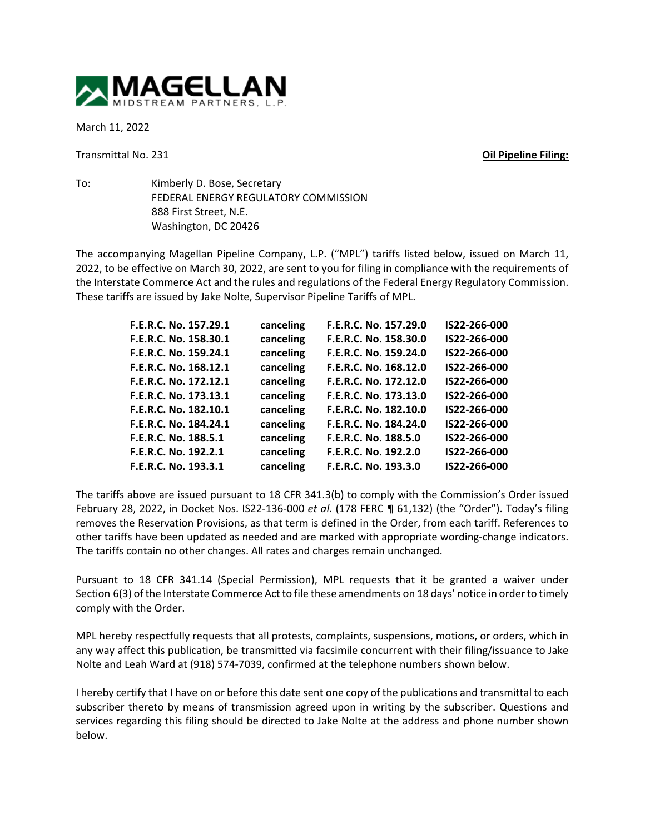

March 11, 2022

Transmittal No. 231 **Oil Pipeline Filing:**

To: Kimberly D. Bose, Secretary FEDERAL ENERGY REGULATORY COMMISSION 888 First Street, N.E. Washington, DC 20426

The accompanying Magellan Pipeline Company, L.P. ("MPL") tariffs listed below, issued on March 11, 2022, to be effective on March 30, 2022, are sent to you for filing in compliance with the requirements of the Interstate Commerce Act and the rules and regulations of the Federal Energy Regulatory Commission. These tariffs are issued by Jake Nolte, Supervisor Pipeline Tariffs of MPL.

| F.E.R.C. No. 157.29.1 | canceling | F.E.R.C. No. 157.29.0 | IS22-266-000 |
|-----------------------|-----------|-----------------------|--------------|
| F.E.R.C. No. 158.30.1 | canceling | F.E.R.C. No. 158.30.0 | IS22-266-000 |
| F.E.R.C. No. 159.24.1 | canceling | F.E.R.C. No. 159.24.0 | IS22-266-000 |
| F.E.R.C. No. 168.12.1 | canceling | F.E.R.C. No. 168.12.0 | IS22-266-000 |
| F.E.R.C. No. 172.12.1 | canceling | F.E.R.C. No. 172.12.0 | IS22-266-000 |
| F.E.R.C. No. 173.13.1 | canceling | F.E.R.C. No. 173.13.0 | IS22-266-000 |
| F.E.R.C. No. 182.10.1 | canceling | F.E.R.C. No. 182.10.0 | IS22-266-000 |
| F.E.R.C. No. 184.24.1 | canceling | F.E.R.C. No. 184.24.0 | IS22-266-000 |
| F.E.R.C. No. 188.5.1  | canceling | F.E.R.C. No. 188.5.0  | IS22-266-000 |
| F.E.R.C. No. 192.2.1  | canceling | F.E.R.C. No. 192.2.0  | IS22-266-000 |
| F.E.R.C. No. 193.3.1  | canceling | F.E.R.C. No. 193.3.0  | IS22-266-000 |

The tariffs above are issued pursuant to 18 CFR 341.3(b) to comply with the Commission's Order issued February 28, 2022, in Docket Nos. IS22-136-000 *et al.* (178 FERC ¶ 61,132) (the "Order"). Today's filing removes the Reservation Provisions, as that term is defined in the Order, from each tariff. References to other tariffs have been updated as needed and are marked with appropriate wording-change indicators. The tariffs contain no other changes. All rates and charges remain unchanged.

Pursuant to 18 CFR 341.14 (Special Permission), MPL requests that it be granted a waiver under Section 6(3) of the Interstate Commerce Act to file these amendments on 18 days' notice in order to timely comply with the Order.

MPL hereby respectfully requests that all protests, complaints, suspensions, motions, or orders, which in any way affect this publication, be transmitted via facsimile concurrent with their filing/issuance to Jake Nolte and Leah Ward at (918) 574-7039, confirmed at the telephone numbers shown below.

I hereby certify that I have on or before this date sent one copy of the publications and transmittal to each subscriber thereto by means of transmission agreed upon in writing by the subscriber. Questions and services regarding this filing should be directed to Jake Nolte at the address and phone number shown below.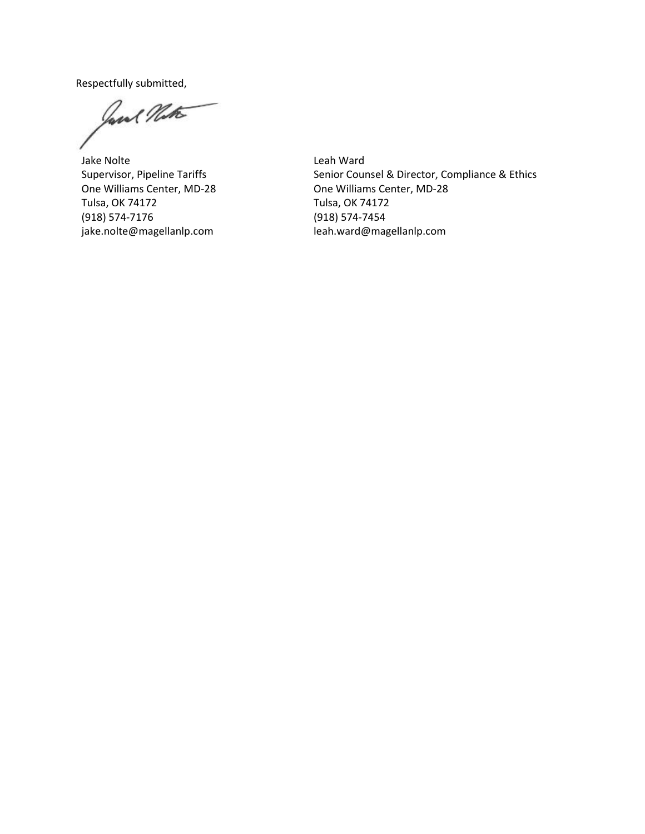Respectfully submitted,

Jane Nata

Jake Nolte Supervisor, Pipeline Tariffs One Williams Center, MD-28 Tulsa, OK 74172 (918) 574-7176 jake.nolte@magellanlp.com

Leah Ward Senior Counsel & Director, Compliance & Ethics One Williams Center, MD-28 Tulsa, OK 74172 (918) 574-7454 leah.ward@magellanlp.com